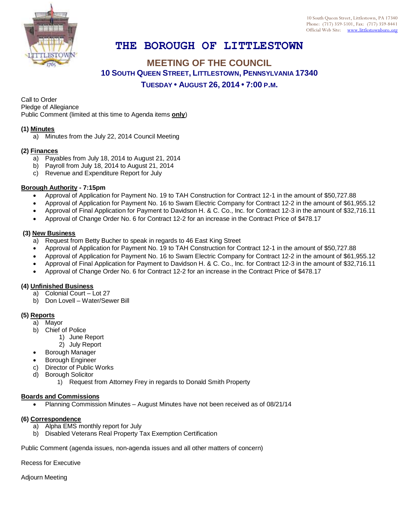

# **THE BOROUGH OF LITTLESTOWN**

## **MEETING OF THE COUNCIL 10 SOUTH QUEEN STREET, LITTLESTOWN, PENNSYLVANIA 17340 TUESDAY • AUGUST 26, 2014 • 7:00 P.M.**

Call to Order Pledge of Allegiance

Public Comment (limited at this time to Agenda items **only**)

### **(1) Minutes**

a) Minutes from the July 22, 2014 Council Meeting

#### **(2) Finances**

- a) Payables from July 18, 2014 to August 21, 2014
- b) Payroll from July 18, 2014 to August 21, 2014
- c) Revenue and Expenditure Report for July

#### **Borough Authority - 7:15pm**

- Approval of Application for Payment No. 19 to TAH Construction for Contract 12-1 in the amount of \$50,727.88
- Approval of Application for Payment No. 16 to Swam Electric Company for Contract 12-2 in the amount of \$61,955.12
- Approval of Final Application for Payment to Davidson H. & C. Co., Inc. for Contract 12-3 in the amount of \$32,716.11
- Approval of Change Order No. 6 for Contract 12-2 for an increase in the Contract Price of \$478.17

#### **(3) New Business**

- a) Request from Betty Bucher to speak in regards to 46 East King Street
- Approval of Application for Payment No. 19 to TAH Construction for Contract 12-1 in the amount of \$50,727.88
- Approval of Application for Payment No. 16 to Swam Electric Company for Contract 12-2 in the amount of \$61,955.12
- Approval of Final Application for Payment to Davidson H. & C. Co., Inc. for Contract 12-3 in the amount of \$32,716.11
- Approval of Change Order No. 6 for Contract 12-2 for an increase in the Contract Price of \$478.17

#### **(4) Unfinished Business**

- a) Colonial Court Lot 27
- b) Don Lovell Water/Sewer Bill

## **(5) Reports**

- a) Mayor
- b) Chief of Police
	- 1) June Report
		- 2) July Report
- Borough Manager
- Borough Engineer
- c) Director of Public Works
- d) Borough Solicitor
	- 1) Request from Attorney Frey in regards to Donald Smith Property

#### **Boards and Commissions**

Planning Commission Minutes – August Minutes have not been received as of 08/21/14

#### **(6) Correspondence**

- a) Alpha EMS monthly report for July
- b) Disabled Veterans Real Property Tax Exemption Certification

Public Comment (agenda issues, non-agenda issues and all other matters of concern)

Recess for Executive

Adjourn Meeting